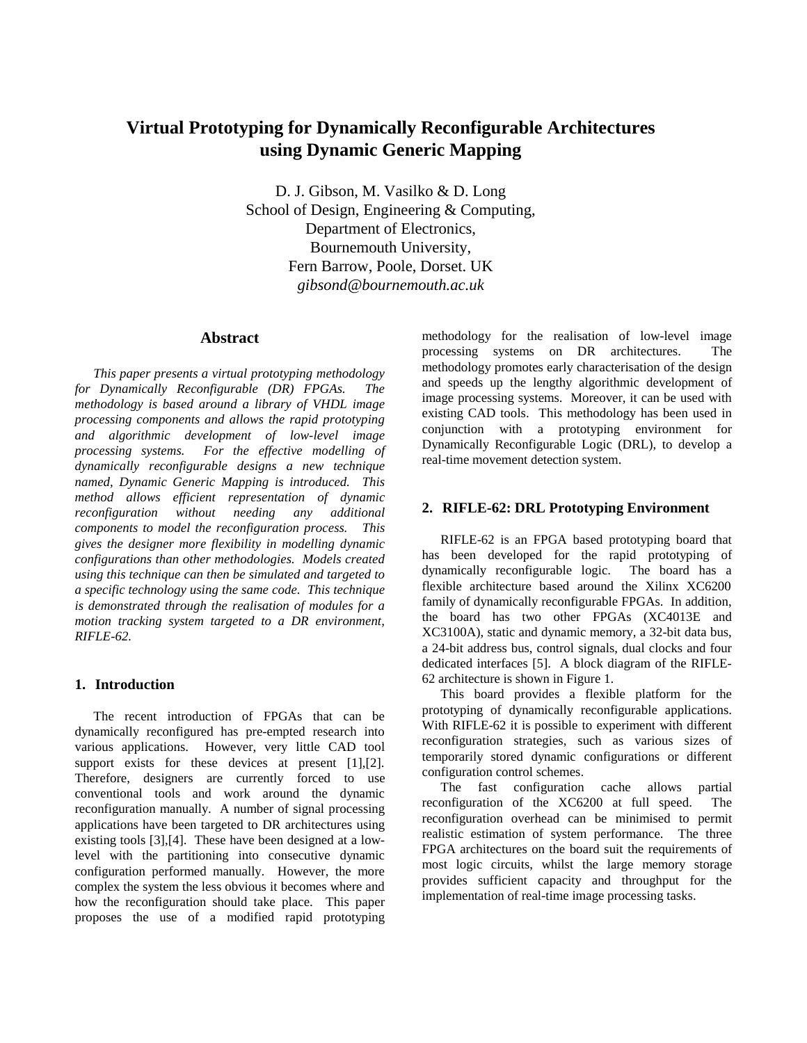# **Virtual Prototyping for Dynamically Reconfigurable Architectures using Dynamic Generic Mapping**

D. J. Gibson, M. Vasilko & D. Long School of Design, Engineering & Computing, Department of Electronics, Bournemouth University, Fern Barrow, Poole, Dorset. UK *gibsond@bournemouth.ac.uk*

# **Abstract**

*This paper presents a virtual prototyping methodology for Dynamically Reconfigurable (DR) FPGAs. The methodology is based around a library of VHDL image processing components and allows the rapid prototyping and algorithmic development of low-level image processing systems. For the effective modelling of dynamically reconfigurable designs a new technique named, Dynamic Generic Mapping is introduced. This method allows efficient representation of dynamic reconfiguration without needing any additional components to model the reconfiguration process. This gives the designer more flexibility in modelling dynamic configurations than other methodologies. Models created using this technique can then be simulated and targeted to a specific technology using the same code. This technique is demonstrated through the realisation of modules for a motion tracking system targeted to a DR environment, RIFLE-62.*

### **1. Introduction**

The recent introduction of FPGAs that can be dynamically reconfigured has pre-empted research into various applications. However, very little CAD tool support exists for these devices at present [1], [2]. Therefore, designers are currently forced to use conventional tools and work around the dynamic reconfiguration manually. A number of signal processing applications have been targeted to DR architectures using existing tools [3],[4]. These have been designed at a lowlevel with the partitioning into consecutive dynamic configuration performed manually. However, the more complex the system the less obvious it becomes where and how the reconfiguration should take place. This paper proposes the use of a modified rapid prototyping

methodology for the realisation of low-level image processing systems on DR architectures. methodology promotes early characterisation of the design and speeds up the lengthy algorithmic development of image processing systems. Moreover, it can be used with existing CAD tools. This methodology has been used in conjunction with a prototyping environment for Dynamically Reconfigurable Logic (DRL), to develop a real-time movement detection system.

### **2. RIFLE-62: DRL Prototyping Environment**

RIFLE-62 is an FPGA based prototyping board that has been developed for the rapid prototyping of dynamically reconfigurable logic. The board has a flexible architecture based around the Xilinx XC6200 family of dynamically reconfigurable FPGAs. In addition, the board has two other FPGAs (XC4013E and XC3100A), static and dynamic memory, a 32-bit data bus, a 24-bit address bus, control signals, dual clocks and four dedicated interfaces [5]. A block diagram of the RIFLE-62 architecture is shown in Figure 1.

This board provides a flexible platform for the prototyping of dynamically reconfigurable applications. With RIFLE-62 it is possible to experiment with different reconfiguration strategies, such as various sizes of temporarily stored dynamic configurations or different configuration control schemes.

The fast configuration cache allows partial reconfiguration of the XC6200 at full speed. The reconfiguration overhead can be minimised to permit realistic estimation of system performance. The three FPGA architectures on the board suit the requirements of most logic circuits, whilst the large memory storage provides sufficient capacity and throughput for the implementation of real-time image processing tasks.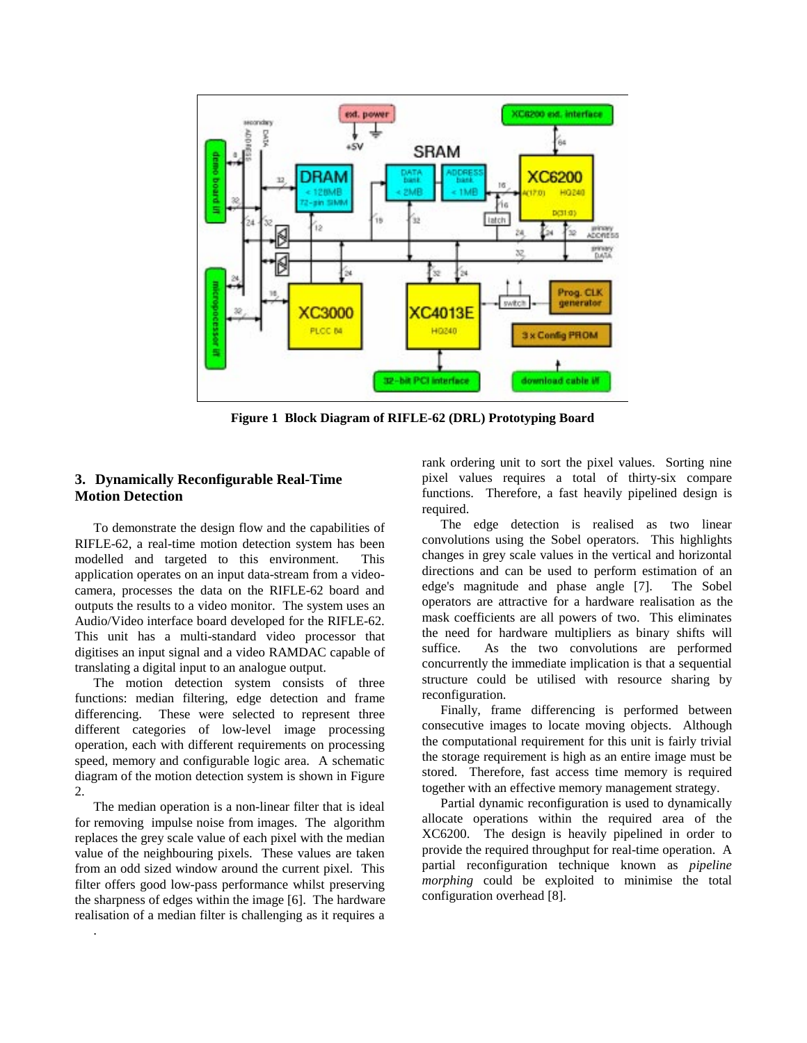

**Figure 1 Block Diagram of RIFLE-62 (DRL) Prototyping Board**

# **3. Dynamically Reconfigurable Real-Time Motion Detection**

To demonstrate the design flow and the capabilities of RIFLE-62, a real-time motion detection system has been modelled and targeted to this environment. This application operates on an input data-stream from a videocamera, processes the data on the RIFLE-62 board and outputs the results to a video monitor. The system uses an Audio/Video interface board developed for the RIFLE-62. This unit has a multi-standard video processor that digitises an input signal and a video RAMDAC capable of translating a digital input to an analogue output.

The motion detection system consists of three functions: median filtering, edge detection and frame differencing. These were selected to represent three different categories of low-level image processing operation, each with different requirements on processing speed, memory and configurable logic area. A schematic diagram of the motion detection system is shown in Figure 2.

The median operation is a non-linear filter that is ideal for removing impulse noise from images. The algorithm replaces the grey scale value of each pixel with the median value of the neighbouring pixels. These values are taken from an odd sized window around the current pixel. This filter offers good low-pass performance whilst preserving the sharpness of edges within the image [6]. The hardware realisation of a median filter is challenging as it requires a

.

rank ordering unit to sort the pixel values. Sorting nine pixel values requires a total of thirty-six compare functions. Therefore, a fast heavily pipelined design is required.

The edge detection is realised as two linear convolutions using the Sobel operators. This highlights changes in grey scale values in the vertical and horizontal directions and can be used to perform estimation of an edge's magnitude and phase angle [7]. The Sobel operators are attractive for a hardware realisation as the mask coefficients are all powers of two. This eliminates the need for hardware multipliers as binary shifts will suffice. As the two convolutions are performed concurrently the immediate implication is that a sequential structure could be utilised with resource sharing by reconfiguration.

Finally, frame differencing is performed between consecutive images to locate moving objects. Although the computational requirement for this unit is fairly trivial the storage requirement is high as an entire image must be stored. Therefore, fast access time memory is required together with an effective memory management strategy.

Partial dynamic reconfiguration is used to dynamically allocate operations within the required area of the XC6200. The design is heavily pipelined in order to provide the required throughput for real-time operation. A partial reconfiguration technique known as *pipeline morphing* could be exploited to minimise the total configuration overhead [8].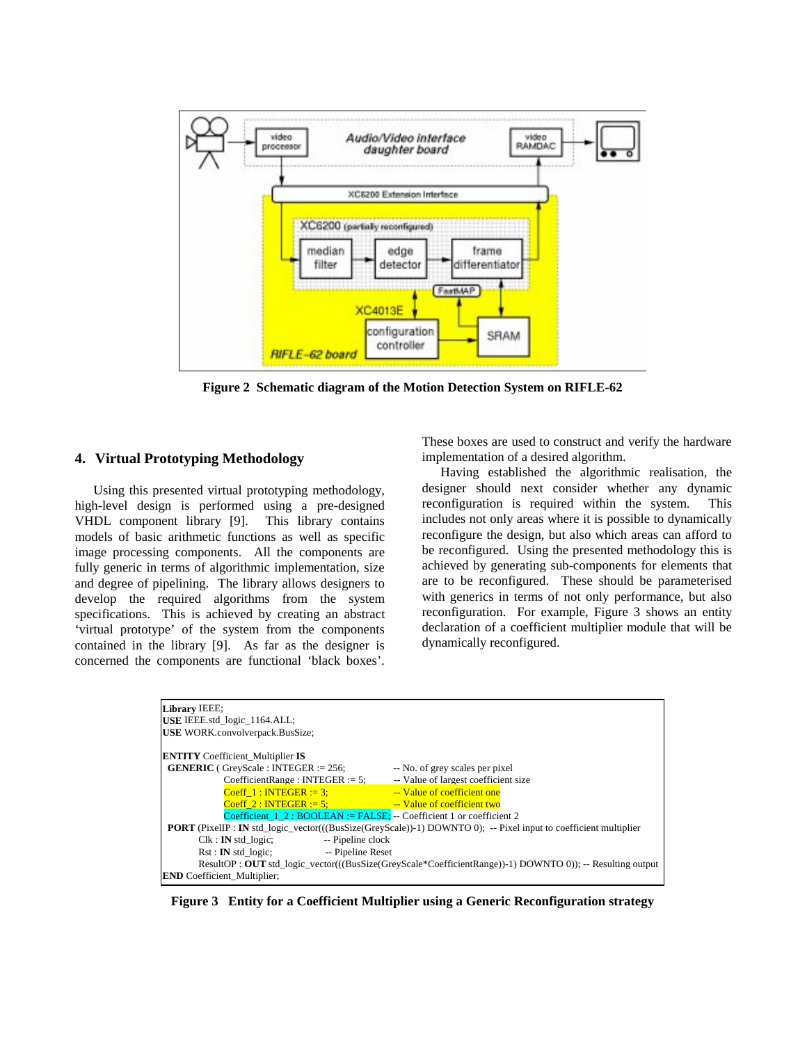

**Figure 2 Schematic diagram of the Motion Detection System on RIFLE-62**

# **4. Virtual Prototyping Methodology**

Using this presented virtual prototyping methodology, high-level design is performed using a pre-designed VHDL component library [9]. This library contains models of basic arithmetic functions as well as specific image processing components. All the components are fully generic in terms of algorithmic implementation, size and degree of pipelining. The library allows designers to develop the required algorithms from the system specifications. This is achieved by creating an abstract 'virtual prototype' of the system from the components contained in the library [9]. As far as the designer is concerned the components are functional 'black boxes'.

These boxes are used to construct and verify the hardware implementation of a desired algorithm.

Having established the algorithmic realisation, the designer should next consider whether any dynamic reconfiguration is required within the system. This includes not only areas where it is possible to dynamically reconfigure the design, but also which areas can afford to be reconfigured. Using the presented methodology this is achieved by generating sub-components for elements that are to be reconfigured. These should be parameterised with generics in terms of not only performance, but also reconfiguration. For example, Figure 3 shows an entity declaration of a coefficient multiplier module that will be dynamically reconfigured.

| Library IEEE;                                                                                                           |  |  |  |  |
|-------------------------------------------------------------------------------------------------------------------------|--|--|--|--|
| USE IEEE.std_logic_1164.ALL;                                                                                            |  |  |  |  |
| <b>USE WORK.convolverpack.BusSize:</b>                                                                                  |  |  |  |  |
|                                                                                                                         |  |  |  |  |
| <b>ENTITY</b> Coefficient Multiplier IS                                                                                 |  |  |  |  |
| <b>GENERIC</b> ( GreyScale : INTEGER := $256$ ;<br>-- No. of grey scales per pixel                                      |  |  |  |  |
| -- Value of largest coefficient size<br>$CoefficientRange: INTEGR := 5$ :                                               |  |  |  |  |
| Coeff 1 : INTEGER := 3; $\qquad \qquad$ - Value of coefficient one                                                      |  |  |  |  |
| $Coeff$ 2 : INTEGER := 5:<br>-- Value of coefficient two                                                                |  |  |  |  |
| Coefficient $1\ 2: BOOLEAN := FALSE$ : -- Coefficient 1 or coefficient 2                                                |  |  |  |  |
| <b>PORT</b> (PixelIP : IN std_logic_vector(((BusSize(GreyScale))-1) DOWNTO 0); -- Pixel input to coefficient multiplier |  |  |  |  |
| -- Pipeline clock<br>$Clk : IN$ std logic;                                                                              |  |  |  |  |
| Rst : IN std logic;<br>-- Pipeline Reset                                                                                |  |  |  |  |
| $ResultOP: OUT$ std logic vector(( $(BusSize(GrevScale*CoefficientRange)$ )-1) DOWNTO 0)); -- Resulting output          |  |  |  |  |
| <b>END</b> Coefficient Multiplier;                                                                                      |  |  |  |  |

**Figure 3 Entity for a Coefficient Multiplier using a Generic Reconfiguration strategy**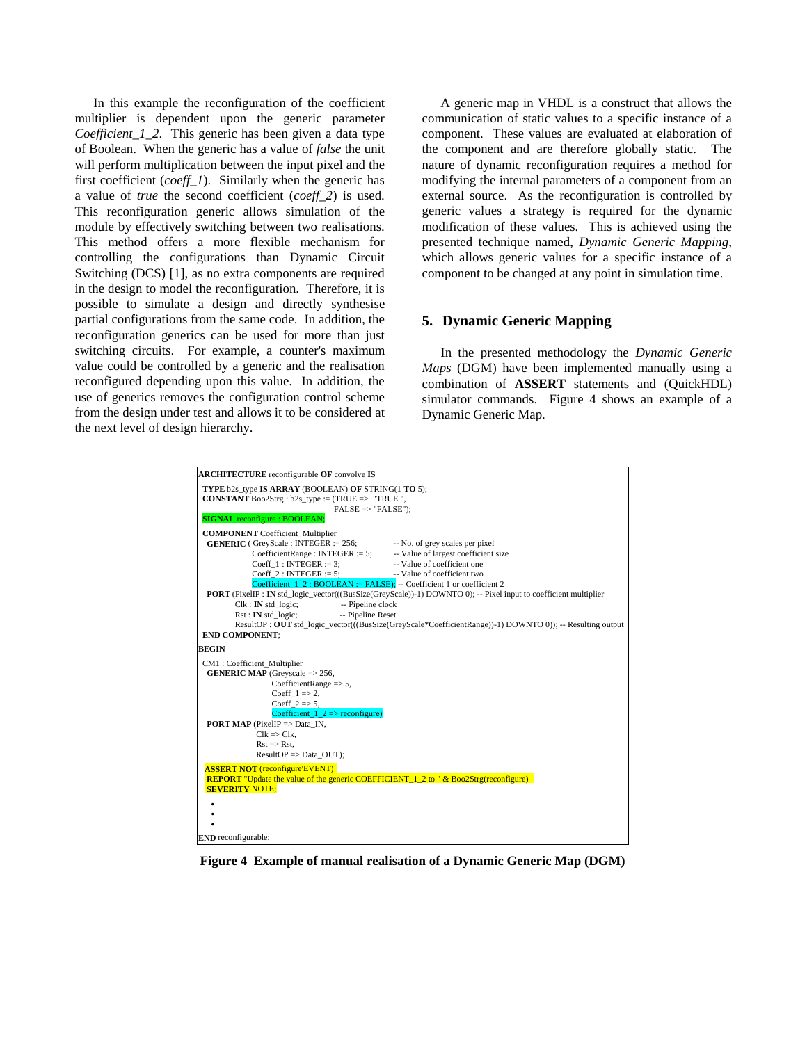In this example the reconfiguration of the coefficient multiplier is dependent upon the generic parameter *Coefficient 1 2.* This generic has been given a data type of Boolean. When the generic has a value of *false* the unit will perform multiplication between the input pixel and the first coefficient (*coeff\_1*). Similarly when the generic has a value of *true* the second coefficient (*coeff\_2*) is used. This reconfiguration generic allows simulation of the module by effectively switching between two realisations. This method offers a more flexible mechanism for controlling the configurations than Dynamic Circuit Switching (DCS) [1], as no extra components are required in the design to model the reconfiguration. Therefore, it is possible to simulate a design and directly synthesise partial configurations from the same code. In addition, the reconfiguration generics can be used for more than just switching circuits. For example, a counter's maximum value could be controlled by a generic and the realisation reconfigured depending upon this value. In addition, the use of generics removes the configuration control scheme from the design under test and allows it to be considered at the next level of design hierarchy.

A generic map in VHDL is a construct that allows the communication of static values to a specific instance of a component. These values are evaluated at elaboration of the component and are therefore globally static. The nature of dynamic reconfiguration requires a method for modifying the internal parameters of a component from an external source. As the reconfiguration is controlled by generic values a strategy is required for the dynamic modification of these values. This is achieved using the presented technique named, *Dynamic Generic Mapping*, which allows generic values for a specific instance of a component to be changed at any point in simulation time.

### **5. Dynamic Generic Mapping**

In the presented methodology the *Dynamic Generic Maps* (DGM) have been implemented manually using a combination of **ASSERT** statements and (QuickHDL) simulator commands. Figure 4 shows an example of a Dynamic Generic Map.



**Figure 4 Example of manual realisation of a Dynamic Generic Map (DGM)**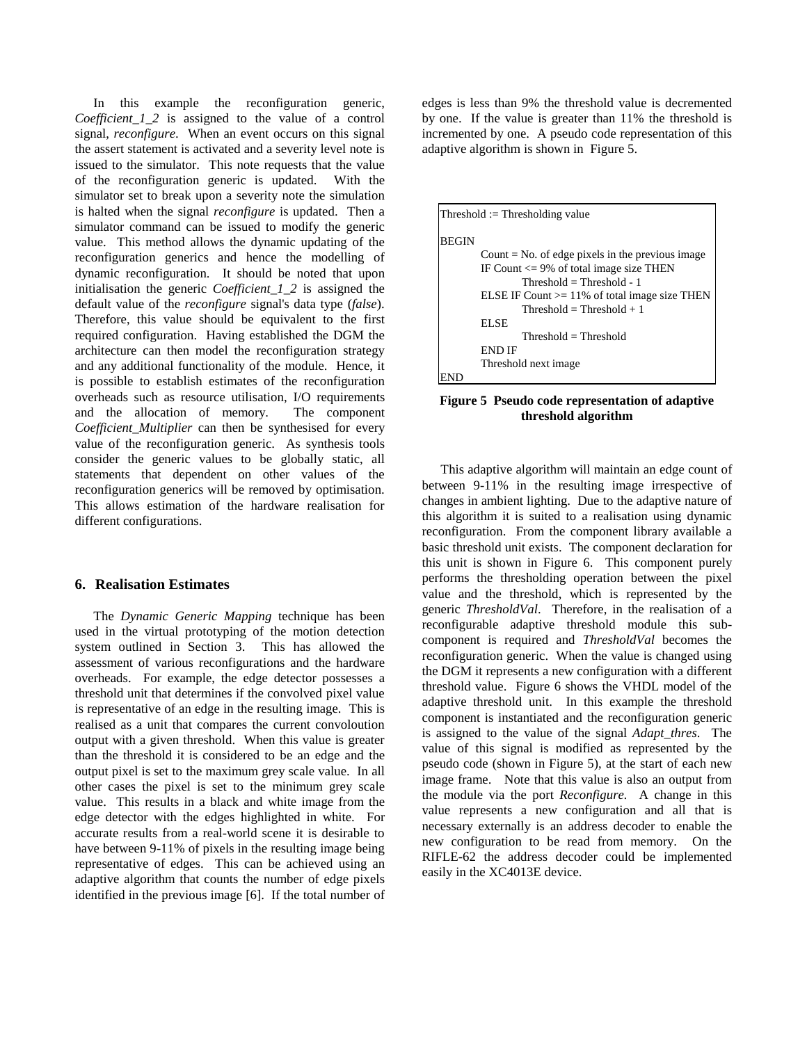In this example the reconfiguration generic, *Coefficient\_1\_2* is assigned to the value of a control signal, *reconfigure*. When an event occurs on this signal the assert statement is activated and a severity level note is issued to the simulator. This note requests that the value of the reconfiguration generic is updated. With the simulator set to break upon a severity note the simulation is halted when the signal *reconfigure* is updated. Then a simulator command can be issued to modify the generic value. This method allows the dynamic updating of the reconfiguration generics and hence the modelling of dynamic reconfiguration. It should be noted that upon initialisation the generic *Coefficient\_1\_2* is assigned the default value of the *reconfigure* signal's data type (*false*). Therefore, this value should be equivalent to the first required configuration. Having established the DGM the architecture can then model the reconfiguration strategy and any additional functionality of the module. Hence, it is possible to establish estimates of the reconfiguration overheads such as resource utilisation, I/O requirements and the allocation of memory. The component *Coefficient\_Multiplier* can then be synthesised for every value of the reconfiguration generic. As synthesis tools consider the generic values to be globally static, all statements that dependent on other values of the reconfiguration generics will be removed by optimisation. This allows estimation of the hardware realisation for different configurations.

### **6. Realisation Estimates**

The *Dynamic Generic Mapping* technique has been used in the virtual prototyping of the motion detection system outlined in Section 3. This has allowed the assessment of various reconfigurations and the hardware overheads. For example, the edge detector possesses a threshold unit that determines if the convolved pixel value is representative of an edge in the resulting image. This is realised as a unit that compares the current convoloution output with a given threshold. When this value is greater than the threshold it is considered to be an edge and the output pixel is set to the maximum grey scale value. In all other cases the pixel is set to the minimum grey scale value. This results in a black and white image from the edge detector with the edges highlighted in white. For accurate results from a real-world scene it is desirable to have between 9-11% of pixels in the resulting image being representative of edges. This can be achieved using an adaptive algorithm that counts the number of edge pixels identified in the previous image [6]. If the total number of edges is less than 9% the threshold value is decremented by one. If the value is greater than 11% the threshold is incremented by one. A pseudo code representation of this adaptive algorithm is shown in Figure 5.



**Figure 5 Pseudo code representation of adaptive threshold algorithm**

This adaptive algorithm will maintain an edge count of between 9-11% in the resulting image irrespective of changes in ambient lighting. Due to the adaptive nature of this algorithm it is suited to a realisation using dynamic reconfiguration. From the component library available a basic threshold unit exists. The component declaration for this unit is shown in Figure 6. This component purely performs the thresholding operation between the pixel value and the threshold, which is represented by the generic *ThresholdVal*. Therefore, in the realisation of a reconfigurable adaptive threshold module this subcomponent is required and *ThresholdVal* becomes the reconfiguration generic. When the value is changed using the DGM it represents a new configuration with a different threshold value. Figure 6 shows the VHDL model of the adaptive threshold unit. In this example the threshold component is instantiated and the reconfiguration generic is assigned to the value of the signal *Adapt\_thres*. The value of this signal is modified as represented by the pseudo code (shown in Figure 5), at the start of each new image frame. Note that this value is also an output from the module via the port *Reconfigure.* A change in this value represents a new configuration and all that is necessary externally is an address decoder to enable the new configuration to be read from memory. On the RIFLE-62 the address decoder could be implemented easily in the XC4013E device.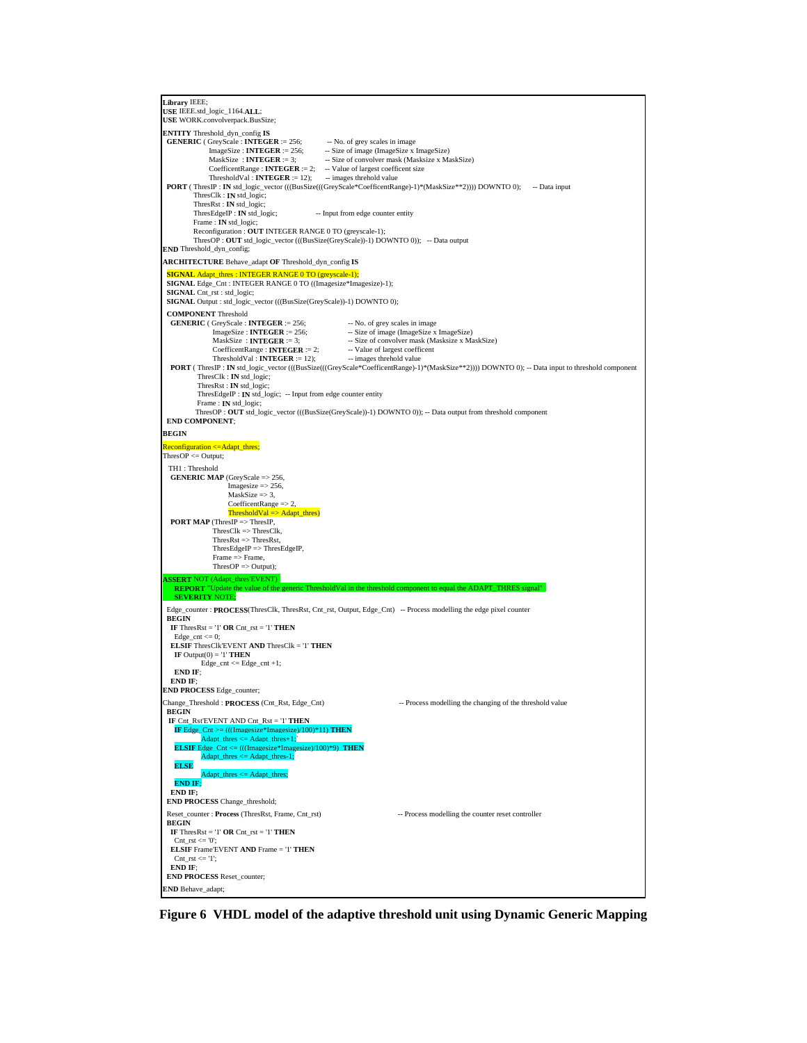```
Library IEEE;
 USE IEEE.std_logic_1164.ALL;
 USE WORK.convolverpack.BusSize;
ENTITY Threshold_dyn_config IS
 GENERIC ( GreyScale : INTEGER := 256; -- No. of grey scales in image<br>ImageSize : INTEGER := 256; -- Size of image (ImageSize x
                ImageSize : INTEGER := 256; -- Size of image (ImageSize x ImageSize)<br>MaskSize : INTEGER := 3; -- Size of convolver mask (Masksize x Ma
                                                          MaskSize : INTEGER := 3; -- Size of convolver mask (Masksize x MaskSize)
              CoefficentRange : INTEGER := 2; -- Value of largest coefficent size<br>ThresholdVal : INTEGER := 12); -- images threhold value
PORT (ThresIP : IN std_logic_vector (((BusSize(((GreyScale*CoefficentRange)-1)*(MaskSize**2)))) DOWNTO 0); -- Data input ThresClk : IN std_logic;
           ThresRst : IN std_logic;
                                                      -- Input from edge counter entity
            Frame : IN std_logic;
 Reconfiguration : OUT INTEGER RANGE 0 TO (greyscale-1);
 ThresOP : OUT std_logic_vector (((BusSize(GreyScale))-1) DOWNTO 0)); -- Data output
END Threshold_dyn_config;
ARCHITECTURE Behave_adapt OF Threshold_dyn_config IS
 SIGNAL Adapt_thres : INTEGER RANGE 0 TO (greyse
 SIGNAL Edge_Cnt : INTEGER RANGE 0 TO ((Imagesize*Imagesize)-1);
  SIGNAL Cnt_rst : std_logic;
  SIGNAL Output : std_logic_vector (((BusSize(GreyScale))-1) DOWNTO 0);
  COMPONENT Threshold
  GENERIC ( GreyScale : INTEGER := 256; -- No. of grey scales in image<br>
ImageSize : INTEGER := 256; -- Size of image (ImageSize x<br>
MaskSize : INTEGER := 3; -- Size of convolver mask (M:
              ImageSize : INTEGER := 256; -- Size of image (ImageSize x ImageSize)<br>
MaskSize : INTEGER := 3; --- Size of convolver mask (Masksize x MaskSize)
              CoefficentRange : INTEGER := 2; -- Value of largest coefficent<br>ThresholdVal : INTEGER := 12); -- images threhold value
   PORT ( ThresIP : IN std_logic_vector (((BusSize(((GreyScale*CoefficentRange)-1)*(MaskSize**2)))) DOWNTO 0); -- Data input to threshold component
            ThresClk : IN std_logic;
             ThresRst : IN std_logic;
           ThresEdgeIP : IN std_logic; -- Input from edge counter entity
           Frame : IN std_logic;
            ThresOP : OUT std_logic_vector (((BusSize(GreyScale))-1) DOWNTO 0)); -- Data output from threshold component
  END COMPONENT;
BEGIN
 Reconfiguration <= Adapt_thres;
ThresOP <= Output;
  TH1 : Threshold
  GENERIC MAP (GreyScale => 256,
                       Image size \implies 256MaskSize \Rightarrow 3,
                       CoefficientRange \implies 2ThresholdVal \Rightarrow Adapt_thres)
  PORT MAP (ThresIP => ThresIP,
               ThresClk => ThresClk,
 ThresRst => ThresRst,
                  ThresEdgeIP => ThresEdgeIP,
                  Frame => Frame,
                 ThresOP \Rightarrow Output);ASSERT NOT (Adapt thres'EVENT)<br>REPORT "Update the value of the
 REPORT "Update the value of the generic ThresholdVal in the threshold component to equal the ADAPT_THRES signal"
     SEVERITY NOTE;
  Edge_counter : PROCESS(ThresClk, ThresRst, Cnt_rst, Output, Edge_Cnt) -- Process modelling the edge pixel counter
  BEGIN
   IF ThresRst = '1' OR Cnt_rst = '1' THEN
   Edge\_cnt \le 0; ELSIF ThresClk'EVENT AND ThresClk = '1' THEN
   IF Output(0) = '1'THEN
            Edge\_cnt \leq Edge\_cnt +1; END IF;
   END IF;
 END PROCESS Edge_counter;
 Change_Threshold : PROCESS (Cnt_Rst, Edge_Cnt) -- Process modelling the changing of the threshold value
  BEGIN
 IF Cnt_Rst'EVENT AND Cnt_Rst = '1' THEN
IF Edge_Cnt >= (((Imagesize*Imagesize)/100)*11) THEN<br>
Adapt_thres <= Adapt_thres+1;`<br>
ELSIF Edge Cnt <= (((Imagesize*Imagesize)/100)*9) THEN
             Adapt_thres <= Adapt_thres-1;
    ELSE
                dapt_thres \leq Adapt_thres;
    END IF;
   END IF;
  END PROCESS Change_threshold;
 Reset_counter : Process (ThresRst, Frame, Cnt_rst) -- Process modelling the counter reset controller
  BEGIN
  IF ThresRst = '1' OR Cnt_rst = '1' THEN
   \text{Cnt\_rst} \leq 0';
   ELSIF Frame'EVENT AND Frame = '1' THEN
   \text{Cnt\_rst} \leq 1';
   END IF;
  END PROCESS Reset_counter;
 END Behave_adapt;
```
**Figure 6 VHDL model of the adaptive threshold unit using Dynamic Generic Mapping**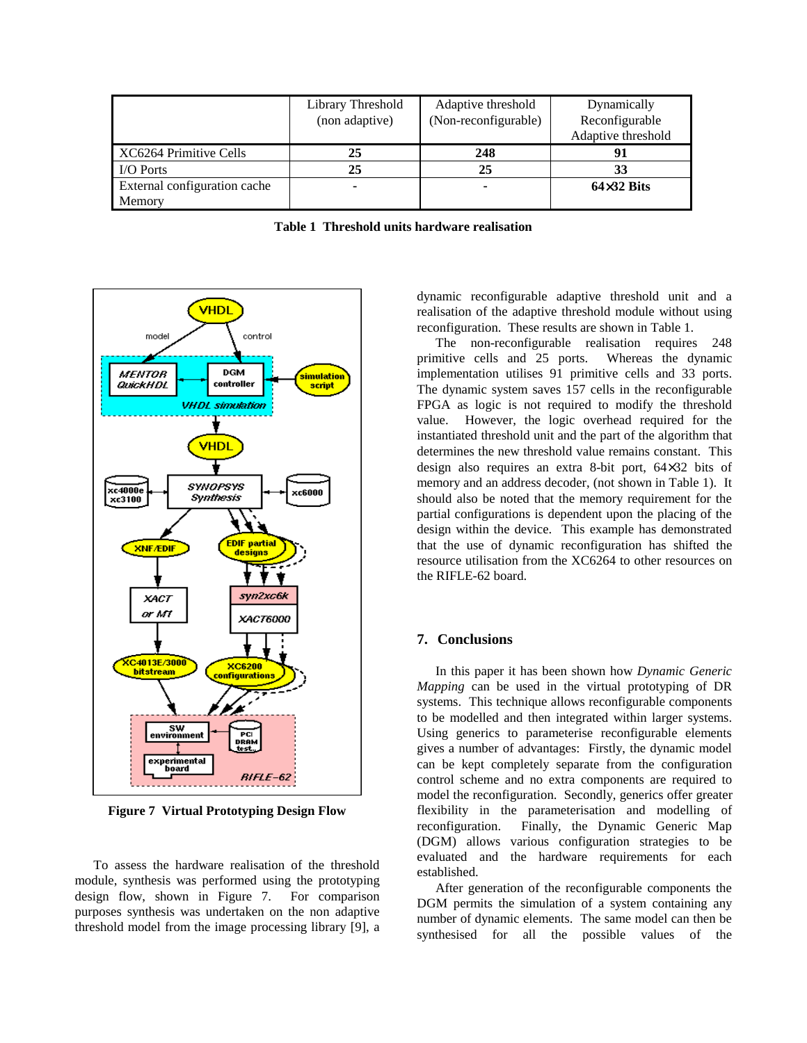|                              | Library Threshold<br>(non adaptive) | Adaptive threshold<br>(Non-reconfigurable) | Dynamically<br>Reconfigurable |
|------------------------------|-------------------------------------|--------------------------------------------|-------------------------------|
|                              |                                     |                                            | Adaptive threshold            |
| XC6264 Primitive Cells       | 25                                  | 248                                        | 91                            |
| <b>I/O Ports</b>             | 25                                  | 25                                         | 33                            |
| External configuration cache | -                                   |                                            | $64\times32$ Bits             |
| Memory                       |                                     |                                            |                               |

**Table 1 Threshold units hardware realisation**



**Figure 7 Virtual Prototyping Design Flow**

To assess the hardware realisation of the threshold module, synthesis was performed using the prototyping design flow, shown in Figure 7. For comparison purposes synthesis was undertaken on the non adaptive threshold model from the image processing library [9], a dynamic reconfigurable adaptive threshold unit and a realisation of the adaptive threshold module without using reconfiguration. These results are shown in Table 1.

The non-reconfigurable realisation requires 248 primitive cells and 25 ports. Whereas the dynamic implementation utilises 91 primitive cells and 33 ports. The dynamic system saves 157 cells in the reconfigurable FPGA as logic is not required to modify the threshold value. However, the logic overhead required for the instantiated threshold unit and the part of the algorithm that determines the new threshold value remains constant. This design also requires an extra 8-bit port, 64×32 bits of memory and an address decoder, (not shown in Table 1). It should also be noted that the memory requirement for the partial configurations is dependent upon the placing of the design within the device. This example has demonstrated that the use of dynamic reconfiguration has shifted the resource utilisation from the XC6264 to other resources on the RIFLE-62 board.

#### **7. Conclusions**

In this paper it has been shown how *Dynamic Generic Mapping* can be used in the virtual prototyping of DR systems. This technique allows reconfigurable components to be modelled and then integrated within larger systems. Using generics to parameterise reconfigurable elements gives a number of advantages: Firstly, the dynamic model can be kept completely separate from the configuration control scheme and no extra components are required to model the reconfiguration. Secondly, generics offer greater flexibility in the parameterisation and modelling of reconfiguration. Finally, the Dynamic Generic Map (DGM) allows various configuration strategies to be evaluated and the hardware requirements for each established.

After generation of the reconfigurable components the DGM permits the simulation of a system containing any number of dynamic elements. The same model can then be synthesised for all the possible values of the